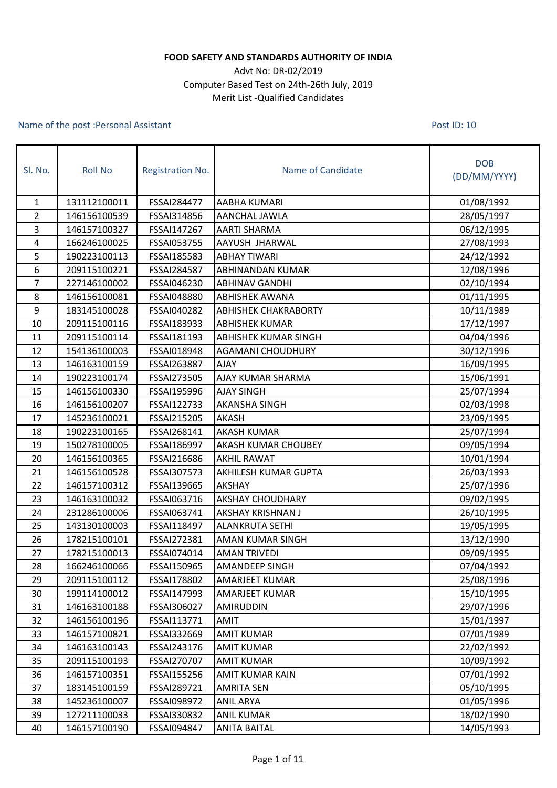## **FOOD SAFETY AND STANDARDS AUTHORITY OF INDIA**

## Advt No: DR-02/2019 Computer Based Test on 24th-26th July, 2019 Merit List -Qualified Candidates

## Name of the post :Personal Assistant

Post ID: 10

| SI. No.        | <b>Roll No</b> | Registration No. | Name of Candidate           | <b>DOB</b><br>(DD/MM/YYYY) |
|----------------|----------------|------------------|-----------------------------|----------------------------|
| $\mathbf{1}$   | 131112100011   | FSSAI284477      | <b>AABHA KUMARI</b>         | 01/08/1992                 |
| $\overline{2}$ | 146156100539   | FSSAI314856      | AANCHAL JAWLA               | 28/05/1997                 |
| 3              | 146157100327   | FSSAI147267      | <b>AARTI SHARMA</b>         | 06/12/1995                 |
| 4              | 166246100025   | FSSAI053755      | AAYUSH JHARWAL              | 27/08/1993                 |
| 5              | 190223100113   | FSSAI185583      | <b>ABHAY TIWARI</b>         | 24/12/1992                 |
| 6              | 209115100221   | FSSAI284587      | <b>ABHINANDAN KUMAR</b>     | 12/08/1996                 |
| 7              | 227146100002   | FSSAI046230      | <b>ABHINAV GANDHI</b>       | 02/10/1994                 |
| 8              | 146156100081   | FSSAI048880      | <b>ABHISHEK AWANA</b>       | 01/11/1995                 |
| 9              | 183145100028   | FSSAI040282      | <b>ABHISHEK CHAKRABORTY</b> | 10/11/1989                 |
| 10             | 209115100116   | FSSAI183933      | <b>ABHISHEK KUMAR</b>       | 17/12/1997                 |
| 11             | 209115100114   | FSSAI181193      | <b>ABHISHEK KUMAR SINGH</b> | 04/04/1996                 |
| 12             | 154136100003   | FSSAI018948      | <b>AGAMANI CHOUDHURY</b>    | 30/12/1996                 |
| 13             | 146163100159   | FSSAI263887      | <b>AJAY</b>                 | 16/09/1995                 |
| 14             | 190223100174   | FSSAI273505      | AJAY KUMAR SHARMA           | 15/06/1991                 |
| 15             | 146156100330   | FSSAI195996      | <b>AJAY SINGH</b>           | 25/07/1994                 |
| 16             | 146156100207   | FSSAI122733      | <b>AKANSHA SINGH</b>        | 02/03/1998                 |
| 17             | 145236100021   | FSSAI215205      | AKASH                       | 23/09/1995                 |
| 18             | 190223100165   | FSSAI268141      | <b>AKASH KUMAR</b>          | 25/07/1994                 |
| 19             | 150278100005   | FSSAI186997      | <b>AKASH KUMAR CHOUBEY</b>  | 09/05/1994                 |
| 20             | 146156100365   | FSSAI216686      | <b>AKHIL RAWAT</b>          | 10/01/1994                 |
| 21             | 146156100528   | FSSAI307573      | <b>AKHILESH KUMAR GUPTA</b> | 26/03/1993                 |
| 22             | 146157100312   | FSSAI139665      | AKSHAY                      | 25/07/1996                 |
| 23             | 146163100032   | FSSAI063716      | <b>AKSHAY CHOUDHARY</b>     | 09/02/1995                 |
| 24             | 231286100006   | FSSAI063741      | <b>AKSHAY KRISHNAN J</b>    | 26/10/1995                 |
| 25             | 143130100003   | FSSAI118497      | <b>ALANKRUTA SETHI</b>      | 19/05/1995                 |
| 26             | 178215100101   | FSSAI272381      | <b>AMAN KUMAR SINGH</b>     | 13/12/1990                 |
| 27             | 178215100013   | FSSAI074014      | <b>AMAN TRIVEDI</b>         | 09/09/1995                 |
| 28             | 166246100066   | FSSAI150965      | <b>AMANDEEP SINGH</b>       | 07/04/1992                 |
| 29             | 209115100112   | FSSAI178802      | <b>AMARJEET KUMAR</b>       | 25/08/1996                 |
| 30             | 199114100012   | FSSAI147993      | AMARJEET KUMAR              | 15/10/1995                 |
| 31             | 146163100188   | FSSAI306027      | <b>AMIRUDDIN</b>            | 29/07/1996                 |
| 32             | 146156100196   | FSSAI113771      | AMIT                        | 15/01/1997                 |
| 33             | 146157100821   | FSSAI332669      | <b>AMIT KUMAR</b>           | 07/01/1989                 |
| 34             | 146163100143   | FSSAI243176      | <b>AMIT KUMAR</b>           | 22/02/1992                 |
| 35             | 209115100193   | FSSAI270707      | <b>AMIT KUMAR</b>           | 10/09/1992                 |
| 36             | 146157100351   | FSSAI155256      | <b>AMIT KUMAR KAIN</b>      | 07/01/1992                 |
| 37             | 183145100159   | FSSAI289721      | <b>AMRITA SEN</b>           | 05/10/1995                 |
| 38             | 145236100007   | FSSAI098972      | <b>ANIL ARYA</b>            | 01/05/1996                 |
| 39             | 127211100033   | FSSAI330832      | <b>ANIL KUMAR</b>           | 18/02/1990                 |
| 40             | 146157100190   | FSSAI094847      | <b>ANITA BAITAL</b>         | 14/05/1993                 |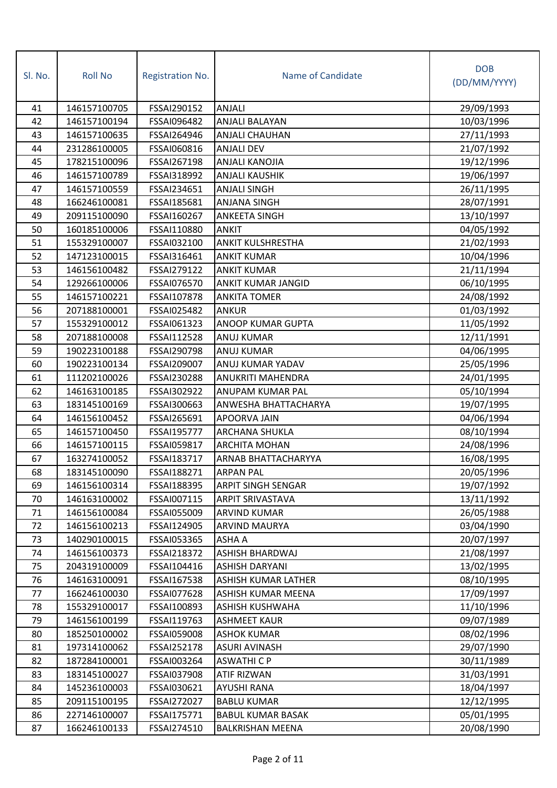| SI. No. | <b>Roll No</b> | Registration No. | Name of Candidate          | <b>DOB</b><br>(DD/MM/YYYY) |
|---------|----------------|------------------|----------------------------|----------------------------|
| 41      | 146157100705   | FSSAI290152      | ANJALI                     | 29/09/1993                 |
| 42      | 146157100194   | FSSAI096482      | <b>ANJALI BALAYAN</b>      | 10/03/1996                 |
| 43      | 146157100635   | FSSAI264946      | <b>ANJALI CHAUHAN</b>      | 27/11/1993                 |
| 44      | 231286100005   | FSSAI060816      | <b>ANJALI DEV</b>          | 21/07/1992                 |
| 45      | 178215100096   | FSSAI267198      | <b>ANJALI KANOJIA</b>      | 19/12/1996                 |
| 46      | 146157100789   | FSSAI318992      | <b>ANJALI KAUSHIK</b>      | 19/06/1997                 |
| 47      | 146157100559   | FSSAI234651      | <b>ANJALI SINGH</b>        | 26/11/1995                 |
| 48      | 166246100081   | FSSAI185681      | <b>ANJANA SINGH</b>        | 28/07/1991                 |
| 49      | 209115100090   | FSSAI160267      | <b>ANKEETA SINGH</b>       | 13/10/1997                 |
| 50      | 160185100006   | FSSAI110880      | <b>ANKIT</b>               | 04/05/1992                 |
| 51      | 155329100007   | FSSAI032100      | <b>ANKIT KULSHRESTHA</b>   | 21/02/1993                 |
| 52      | 147123100015   | FSSAI316461      | <b>ANKIT KUMAR</b>         | 10/04/1996                 |
| 53      | 146156100482   | FSSAI279122      | <b>ANKIT KUMAR</b>         | 21/11/1994                 |
| 54      | 129266100006   | FSSAI076570      | <b>ANKIT KUMAR JANGID</b>  | 06/10/1995                 |
| 55      | 146157100221   | FSSAI107878      | <b>ANKITA TOMER</b>        | 24/08/1992                 |
| 56      | 207188100001   | FSSAI025482      | <b>ANKUR</b>               | 01/03/1992                 |
| 57      | 155329100012   | FSSAI061323      | ANOOP KUMAR GUPTA          | 11/05/1992                 |
| 58      | 207188100008   | FSSAI112528      | <b>ANUJ KUMAR</b>          | 12/11/1991                 |
| 59      | 190223100188   | FSSAI290798      | <b>ANUJ KUMAR</b>          | 04/06/1995                 |
| 60      | 190223100134   | FSSAI209007      | ANUJ KUMAR YADAV           | 25/05/1996                 |
| 61      | 111202100026   | FSSAI230288      | ANUKRITI MAHENDRA          | 24/01/1995                 |
| 62      | 146163100185   | FSSAI302922      | ANUPAM KUMAR PAL           | 05/10/1994                 |
| 63      | 183145100169   | FSSAI300663      | ANWESHA BHATTACHARYA       | 19/07/1995                 |
| 64      | 146156100452   | FSSAI265691      | <b>APOORVA JAIN</b>        | 04/06/1994                 |
| 65      | 146157100450   | FSSAI195777      | <b>ARCHANA SHUKLA</b>      | 08/10/1994                 |
| 66      | 146157100115   | FSSAI059817      | <b>ARCHITA MOHAN</b>       | 24/08/1996                 |
| 67      | 163274100052   | FSSAI183717      | <b>ARNAB BHATTACHARYYA</b> | 16/08/1995                 |
| 68      | 183145100090   | FSSAI188271      | <b>ARPAN PAL</b>           | 20/05/1996                 |
| 69      | 146156100314   | FSSAI188395      | <b>ARPIT SINGH SENGAR</b>  | 19/07/1992                 |
| 70      | 146163100002   | FSSAI007115      | <b>ARPIT SRIVASTAVA</b>    | 13/11/1992                 |
| 71      | 146156100084   | FSSAI055009      | <b>ARVIND KUMAR</b>        | 26/05/1988                 |
| 72      | 146156100213   | FSSAI124905      | ARVIND MAURYA              | 03/04/1990                 |
| 73      | 140290100015   | FSSAI053365      | ASHA A                     | 20/07/1997                 |
| 74      | 146156100373   | FSSAI218372      | ASHISH BHARDWAJ            | 21/08/1997                 |
| 75      | 204319100009   | FSSAI104416      | <b>ASHISH DARYANI</b>      | 13/02/1995                 |
| 76      | 146163100091   | FSSAI167538      | ASHISH KUMAR LATHER        | 08/10/1995                 |
| 77      | 166246100030   | FSSAI077628      | ASHISH KUMAR MEENA         | 17/09/1997                 |
| 78      | 155329100017   | FSSAI100893      | ASHISH KUSHWAHA            | 11/10/1996                 |
| 79      | 146156100199   | FSSAI119763      | <b>ASHMEET KAUR</b>        | 09/07/1989                 |
| 80      | 185250100002   | FSSAI059008      | <b>ASHOK KUMAR</b>         | 08/02/1996                 |
| 81      | 197314100062   | FSSAI252178      | ASURI AVINASH              | 29/07/1990                 |
| 82      | 187284100001   | FSSAI003264      | <b>ASWATHI C P</b>         | 30/11/1989                 |
| 83      | 183145100027   | FSSAI037908      | <b>ATIF RIZWAN</b>         | 31/03/1991                 |
| 84      | 145236100003   | FSSAI030621      | <b>AYUSHI RANA</b>         | 18/04/1997                 |
| 85      | 209115100195   | FSSAI272027      | <b>BABLU KUMAR</b>         | 12/12/1995                 |
| 86      | 227146100007   | FSSAI175771      | <b>BABUL KUMAR BASAK</b>   | 05/01/1995                 |
| 87      | 166246100133   | FSSAI274510      | <b>BALKRISHAN MEENA</b>    | 20/08/1990                 |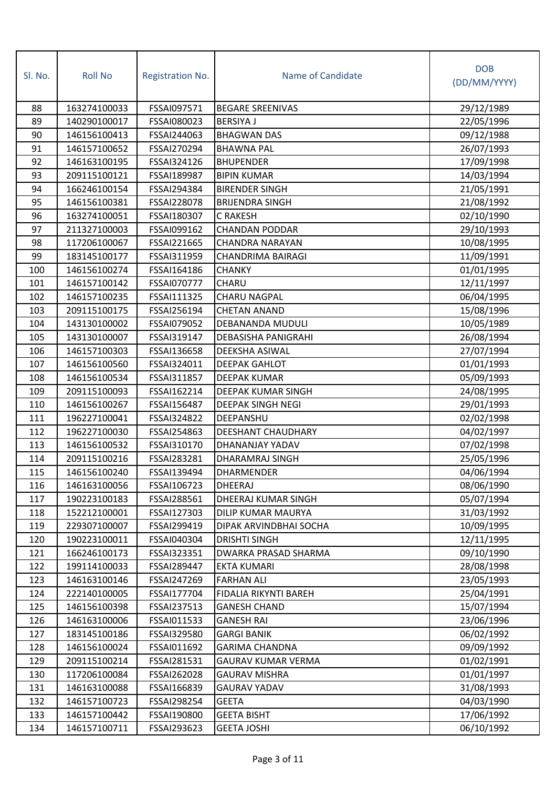| SI. No. | <b>Roll No</b> | Registration No. | Name of Candidate          | <b>DOB</b><br>(DD/MM/YYYY) |
|---------|----------------|------------------|----------------------------|----------------------------|
| 88      | 163274100033   | FSSAI097571      | <b>BEGARE SREENIVAS</b>    | 29/12/1989                 |
| 89      | 140290100017   | FSSAI080023      | <b>BERSIYA J</b>           | 22/05/1996                 |
| 90      | 146156100413   | FSSAI244063      | <b>BHAGWAN DAS</b>         | 09/12/1988                 |
| 91      | 146157100652   | FSSAI270294      | <b>BHAWNA PAL</b>          | 26/07/1993                 |
| 92      | 146163100195   | FSSAI324126      | <b>BHUPENDER</b>           | 17/09/1998                 |
| 93      | 209115100121   | FSSAI189987      | <b>BIPIN KUMAR</b>         | 14/03/1994                 |
| 94      | 166246100154   | FSSAI294384      | <b>BIRENDER SINGH</b>      | 21/05/1991                 |
| 95      | 146156100381   | FSSAI228078      | <b>BRIJENDRA SINGH</b>     | 21/08/1992                 |
| 96      | 163274100051   | FSSAI180307      | <b>C RAKESH</b>            | 02/10/1990                 |
| 97      | 211327100003   | FSSAI099162      | <b>CHANDAN PODDAR</b>      | 29/10/1993                 |
| 98      | 117206100067   | FSSAI221665      | <b>CHANDRA NARAYAN</b>     | 10/08/1995                 |
| 99      | 183145100177   | FSSAI311959      | <b>CHANDRIMA BAIRAGI</b>   | 11/09/1991                 |
| 100     | 146156100274   | FSSAI164186      | <b>CHANKY</b>              | 01/01/1995                 |
| 101     | 146157100142   | FSSAI070777      | CHARU                      | 12/11/1997                 |
| 102     | 146157100235   | FSSAI111325      | <b>CHARU NAGPAL</b>        | 06/04/1995                 |
| 103     | 209115100175   | FSSAI256194      | <b>CHETAN ANAND</b>        | 15/08/1996                 |
| 104     | 143130100002   | FSSAI079052      | DEBANANDA MUDULI           | 10/05/1989                 |
| 105     | 143130100007   | FSSAI319147      | <b>DEBASISHA PANIGRAHI</b> | 26/08/1994                 |
| 106     | 146157100303   | FSSAI136658      | DEEKSHA ASIWAL             | 27/07/1994                 |
| 107     | 146156100560   | FSSAI324011      | <b>DEEPAK GAHLOT</b>       | 01/01/1993                 |
| 108     | 146156100534   | FSSAI311857      | <b>DEEPAK KUMAR</b>        | 05/09/1993                 |
| 109     | 209115100093   | FSSAI162214      | DEEPAK KUMAR SINGH         | 24/08/1995                 |
| 110     | 146156100267   | FSSAI156487      | <b>DEEPAK SINGH NEGI</b>   | 29/01/1993                 |
| 111     | 196227100041   | FSSAI324822      | DEEPANSHU                  | 02/02/1998                 |
| 112     | 196227100030   | FSSAI254863      | <b>DEESHANT CHAUDHARY</b>  | 04/02/1997                 |
| 113     | 146156100532   | FSSAI310170      | DHANANJAY YADAV            | 07/02/1998                 |
| 114     | 209115100216   | FSSAI283281      | DHARAMRAJ SINGH            | 25/05/1996                 |
| 115     | 146156100240   | FSSAI139494      | DHARMENDER                 | 04/06/1994                 |
| 116     | 146163100056   | FSSAI106723      | DHEERAJ                    | 08/06/1990                 |
| 117     | 190223100183   | FSSAI288561      | DHEERAJ KUMAR SINGH        | 05/07/1994                 |
| 118     | 152212100001   | FSSAI127303      | DILIP KUMAR MAURYA         | 31/03/1992                 |
| 119     | 229307100007   | FSSAI299419      | DIPAK ARVINDBHAI SOCHA     | 10/09/1995                 |
| 120     | 190223100011   | FSSAI040304      | <b>DRISHTI SINGH</b>       | 12/11/1995                 |
| 121     | 166246100173   | FSSAI323351      | DWARKA PRASAD SHARMA       | 09/10/1990                 |
| 122     | 199114100033   | FSSAI289447      | <b>EKTA KUMARI</b>         | 28/08/1998                 |
| 123     | 146163100146   | FSSAI247269      | <b>FARHAN ALI</b>          | 23/05/1993                 |
| 124     | 222140100005   | FSSAI177704      | FIDALIA RIKYNTI BAREH      | 25/04/1991                 |
| 125     | 146156100398   | FSSAI237513      | <b>GANESH CHAND</b>        | 15/07/1994                 |
| 126     | 146163100006   | FSSAI011533      | <b>GANESH RAI</b>          | 23/06/1996                 |
| 127     | 183145100186   | FSSAI329580      | <b>GARGI BANIK</b>         | 06/02/1992                 |
| 128     | 146156100024   | FSSAI011692      | <b>GARIMA CHANDNA</b>      | 09/09/1992                 |
| 129     | 209115100214   | FSSAI281531      | <b>GAURAV KUMAR VERMA</b>  | 01/02/1991                 |
| 130     | 117206100084   | FSSAI262028      | <b>GAURAV MISHRA</b>       | 01/01/1997                 |
| 131     | 146163100088   | FSSAI166839      | <b>GAURAV YADAV</b>        | 31/08/1993                 |
| 132     | 146157100723   | FSSAI298254      | <b>GEETA</b>               | 04/03/1990                 |
| 133     | 146157100442   | FSSAI190800      | <b>GEETA BISHT</b>         | 17/06/1992                 |
| 134     | 146157100711   | FSSAI293623      | <b>GEETA JOSHI</b>         | 06/10/1992                 |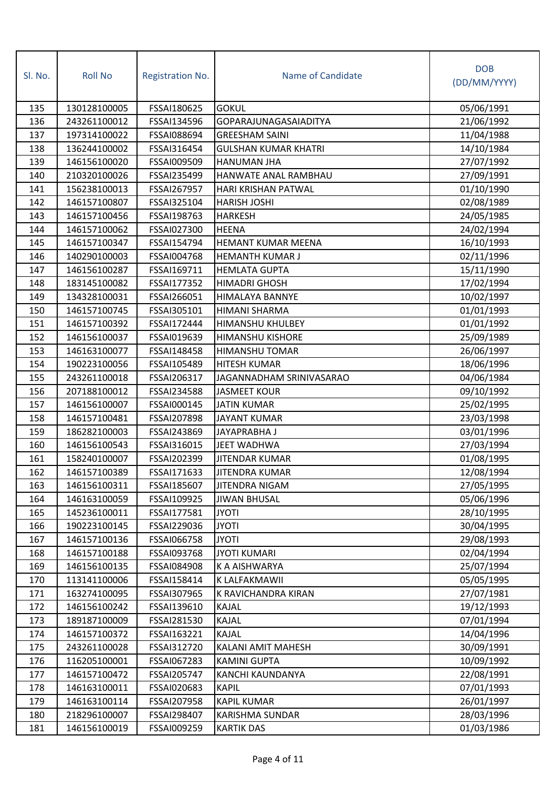| SI. No. | <b>Roll No</b> | Registration No. | Name of Candidate           | <b>DOB</b><br>(DD/MM/YYYY) |
|---------|----------------|------------------|-----------------------------|----------------------------|
| 135     | 130128100005   | FSSAI180625      | <b>GOKUL</b>                | 05/06/1991                 |
| 136     | 243261100012   | FSSAI134596      | GOPARAJUNAGASAIADITYA       | 21/06/1992                 |
| 137     | 197314100022   | FSSAI088694      | <b>GREESHAM SAINI</b>       | 11/04/1988                 |
| 138     | 136244100002   | FSSAI316454      | <b>GULSHAN KUMAR KHATRI</b> | 14/10/1984                 |
| 139     | 146156100020   | FSSAI009509      | HANUMAN JHA                 | 27/07/1992                 |
| 140     | 210320100026   | FSSAI235499      | HANWATE ANAL RAMBHAU        | 27/09/1991                 |
| 141     | 156238100013   | FSSAI267957      | HARI KRISHAN PATWAL         | 01/10/1990                 |
| 142     | 146157100807   | FSSAI325104      | <b>HARISH JOSHI</b>         | 02/08/1989                 |
| 143     | 146157100456   | FSSAI198763      | <b>HARKESH</b>              | 24/05/1985                 |
| 144     | 146157100062   | FSSAI027300      | <b>HEENA</b>                | 24/02/1994                 |
| 145     | 146157100347   | FSSAI154794      | HEMANT KUMAR MEENA          | 16/10/1993                 |
| 146     | 140290100003   | FSSAI004768      | <b>HEMANTH KUMAR J</b>      | 02/11/1996                 |
| 147     | 146156100287   | FSSAI169711      | <b>HEMLATA GUPTA</b>        | 15/11/1990                 |
| 148     | 183145100082   | FSSAI177352      | <b>HIMADRI GHOSH</b>        | 17/02/1994                 |
| 149     | 134328100031   | FSSAI266051      | HIMALAYA BANNYE             | 10/02/1997                 |
| 150     | 146157100745   | FSSAI305101      | <b>HIMANI SHARMA</b>        | 01/01/1993                 |
| 151     | 146157100392   | FSSAI172444      | HIMANSHU KHULBEY            | 01/01/1992                 |
| 152     | 146156100037   | FSSAI019639      | <b>HIMANSHU KISHORE</b>     | 25/09/1989                 |
| 153     | 146163100077   | FSSAI148458      | <b>HIMANSHU TOMAR</b>       | 26/06/1997                 |
| 154     | 190223100056   | FSSAI105489      | <b>HITESH KUMAR</b>         | 18/06/1996                 |
| 155     | 243261100018   | FSSAI206317      | JAGANNADHAM SRINIVASARAO    | 04/06/1984                 |
| 156     | 207188100012   | FSSAI234588      | <b>JASMEET KOUR</b>         | 09/10/1992                 |
| 157     | 146156100007   | FSSAI000145      | <b>JATIN KUMAR</b>          | 25/02/1995                 |
| 158     | 146157100481   | FSSAI207898      | <b>JAYANT KUMAR</b>         | 23/03/1998                 |
| 159     | 186282100003   | FSSAI243869      | JAYAPRABHA J                | 03/01/1996                 |
| 160     | 146156100543   | FSSAI316015      | <b>JEET WADHWA</b>          | 27/03/1994                 |
| 161     | 158240100007   | FSSAI202399      | <b>JITENDAR KUMAR</b>       | 01/08/1995                 |
| 162     | 146157100389   | FSSAI171633      | JITENDRA KUMAR              | 12/08/1994                 |
| 163     | 146156100311   | FSSAI185607      | JITENDRA NIGAM              | 27/05/1995                 |
| 164     | 146163100059   | FSSAI109925      | <b>JIWAN BHUSAL</b>         | 05/06/1996                 |
| 165     | 145236100011   | FSSAI177581      | <b>JYOTI</b>                | 28/10/1995                 |
| 166     | 190223100145   | FSSAI229036      | <b>JYOTI</b>                | 30/04/1995                 |
| 167     | 146157100136   | FSSAI066758      | <b>JYOTI</b>                | 29/08/1993                 |
| 168     | 146157100188   | FSSAI093768      | <b>JYOTI KUMARI</b>         | 02/04/1994                 |
| 169     | 146156100135   | FSSAI084908      | K A AISHWARYA               | 25/07/1994                 |
| 170     | 113141100006   | FSSAI158414      | K LALFAKMAWII               | 05/05/1995                 |
| 171     | 163274100095   | FSSAI307965      | K RAVICHANDRA KIRAN         | 27/07/1981                 |
| 172     | 146156100242   | FSSAI139610      | KAJAL                       | 19/12/1993                 |
| 173     | 189187100009   | FSSAI281530      | KAJAL                       | 07/01/1994                 |
| 174     | 146157100372   | FSSAI163221      | KAJAL                       | 14/04/1996                 |
| 175     | 243261100028   | FSSAI312720      | KALANI AMIT MAHESH          | 30/09/1991                 |
| 176     | 116205100001   | FSSAI067283      | <b>KAMINI GUPTA</b>         | 10/09/1992                 |
| 177     | 146157100472   | FSSAI205747      | KANCHI KAUNDANYA            | 22/08/1991                 |
| 178     | 146163100011   | FSSAI020683      | <b>KAPIL</b>                | 07/01/1993                 |
| 179     | 146163100114   | FSSAI207958      | <b>KAPIL KUMAR</b>          | 26/01/1997                 |
| 180     | 218296100007   | FSSAI298407      | KARISHMA SUNDAR             | 28/03/1996                 |
| 181     | 146156100019   | FSSAI009259      | <b>KARTIK DAS</b>           | 01/03/1986                 |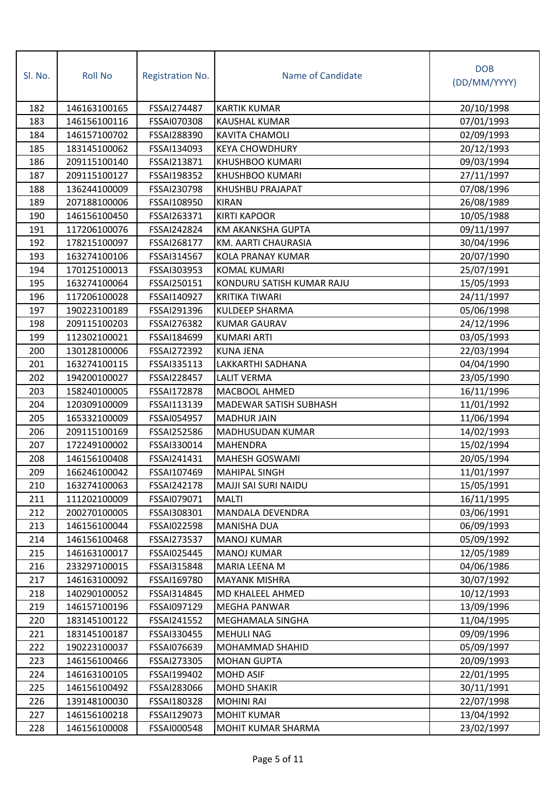| SI. No. | <b>Roll No</b> | Registration No. | Name of Candidate         | <b>DOB</b><br>(DD/MM/YYYY) |
|---------|----------------|------------------|---------------------------|----------------------------|
| 182     | 146163100165   | FSSAI274487      | <b>KARTIK KUMAR</b>       | 20/10/1998                 |
| 183     | 146156100116   | FSSAI070308      | <b>KAUSHAL KUMAR</b>      | 07/01/1993                 |
| 184     | 146157100702   | FSSAI288390      | <b>KAVITA CHAMOLI</b>     | 02/09/1993                 |
| 185     | 183145100062   | FSSAI134093      | <b>KEYA CHOWDHURY</b>     | 20/12/1993                 |
| 186     | 209115100140   | FSSAI213871      | KHUSHBOO KUMARI           | 09/03/1994                 |
| 187     | 209115100127   | FSSAI198352      | <b>KHUSHBOO KUMARI</b>    | 27/11/1997                 |
| 188     | 136244100009   | FSSAI230798      | KHUSHBU PRAJAPAT          | 07/08/1996                 |
| 189     | 207188100006   | FSSAI108950      | <b>KIRAN</b>              | 26/08/1989                 |
| 190     | 146156100450   | FSSAI263371      | <b>KIRTI KAPOOR</b>       | 10/05/1988                 |
| 191     | 117206100076   | FSSAI242824      | <b>KM AKANKSHA GUPTA</b>  | 09/11/1997                 |
| 192     | 178215100097   | FSSAI268177      | KM. AARTI CHAURASIA       | 30/04/1996                 |
| 193     | 163274100106   | FSSAI314567      | <b>KOLA PRANAY KUMAR</b>  | 20/07/1990                 |
| 194     | 170125100013   | FSSAI303953      | <b>KOMAL KUMARI</b>       | 25/07/1991                 |
| 195     | 163274100064   | FSSAI250151      | KONDURU SATISH KUMAR RAJU | 15/05/1993                 |
| 196     | 117206100028   | FSSAI140927      | <b>KRITIKA TIWARI</b>     | 24/11/1997                 |
| 197     | 190223100189   | FSSAI291396      | KULDEEP SHARMA            | 05/06/1998                 |
| 198     | 209115100203   | FSSAI276382      | <b>KUMAR GAURAV</b>       | 24/12/1996                 |
| 199     | 112302100021   | FSSAI184699      | <b>KUMARI ARTI</b>        | 03/05/1993                 |
| 200     | 130128100006   | FSSAI272392      | <b>KUNA JENA</b>          | 22/03/1994                 |
| 201     | 163274100115   | FSSAI335113      | LAKKARTHI SADHANA         | 04/04/1990                 |
| 202     | 194200100027   | FSSAI228457      | LALIT VERMA               | 23/05/1990                 |
| 203     | 158240100005   | FSSAI172878      | MACBOOL AHMED             | 16/11/1996                 |
| 204     | 120309100009   | FSSAI113139      | MADEWAR SATISH SUBHASH    | 11/01/1992                 |
| 205     | 165332100009   | FSSAI054957      | <b>MADHUR JAIN</b>        | 11/06/1994                 |
| 206     | 209115100169   | FSSAI252586      | MADHUSUDAN KUMAR          | 14/02/1993                 |
| 207     | 172249100002   | FSSAI330014      | <b>MAHENDRA</b>           | 15/02/1994                 |
| 208     | 146156100408   | FSSAI241431      | <b>MAHESH GOSWAMI</b>     | 20/05/1994                 |
| 209     | 166246100042   | FSSAI107469      | <b>MAHIPAL SINGH</b>      | 11/01/1997                 |
| 210     | 163274100063   | FSSAI242178      | MAJJI SAI SURI NAIDU      | 15/05/1991                 |
| 211     | 111202100009   | FSSAI079071      | <b>MALTI</b>              | 16/11/1995                 |
| 212     | 200270100005   | FSSAI308301      | MANDALA DEVENDRA          | 03/06/1991                 |
| 213     | 146156100044   | FSSAI022598      | MANISHA DUA               | 06/09/1993                 |
| 214     | 146156100468   | FSSAI273537      | <b>MANOJ KUMAR</b>        | 05/09/1992                 |
| 215     | 146163100017   | FSSAI025445      | <b>MANOJ KUMAR</b>        | 12/05/1989                 |
| 216     | 233297100015   | FSSAI315848      | MARIA LEENA M             | 04/06/1986                 |
| 217     | 146163100092   | FSSAI169780      | <b>MAYANK MISHRA</b>      | 30/07/1992                 |
| 218     | 140290100052   | FSSAI314845      | MD KHALEEL AHMED          | 10/12/1993                 |
| 219     | 146157100196   | FSSAI097129      | MEGHA PANWAR              | 13/09/1996                 |
| 220     | 183145100122   | FSSAI241552      | MEGHAMALA SINGHA          | 11/04/1995                 |
| 221     | 183145100187   | FSSAI330455      | <b>MEHULI NAG</b>         | 09/09/1996                 |
| 222     | 190223100037   | FSSAI076639      | MOHAMMAD SHAHID           | 05/09/1997                 |
| 223     | 146156100466   | FSSAI273305      | <b>MOHAN GUPTA</b>        | 20/09/1993                 |
| 224     | 146163100105   | FSSAI199402      | <b>MOHD ASIF</b>          | 22/01/1995                 |
| 225     | 146156100492   | FSSAI283066      | <b>MOHD SHAKIR</b>        | 30/11/1991                 |
| 226     | 139148100030   | FSSAI180328      | <b>MOHINI RAI</b>         | 22/07/1998                 |
| 227     | 146156100218   | FSSAI129073      | <b>MOHIT KUMAR</b>        | 13/04/1992                 |
| 228     | 146156100008   | FSSAI000548      | MOHIT KUMAR SHARMA        | 23/02/1997                 |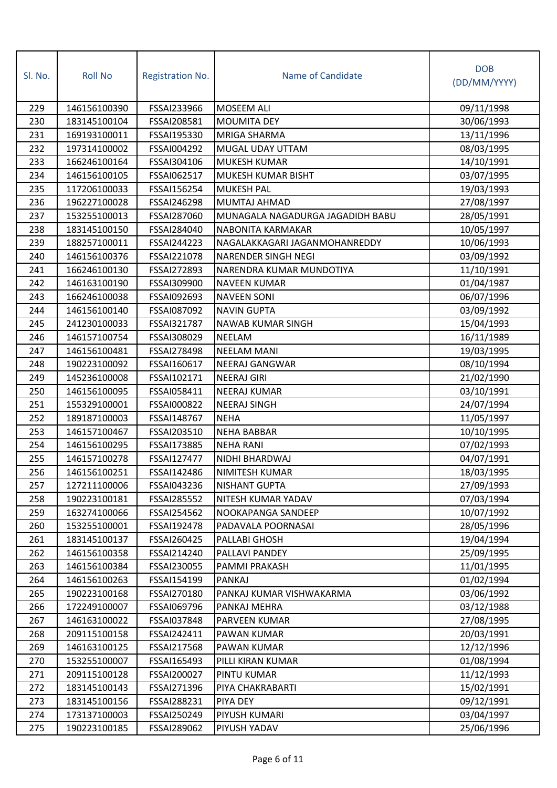| SI. No. | <b>Roll No</b> | Registration No. | Name of Candidate                | <b>DOB</b><br>(DD/MM/YYYY) |
|---------|----------------|------------------|----------------------------------|----------------------------|
| 229     | 146156100390   | FSSAI233966      | <b>MOSEEM ALI</b>                | 09/11/1998                 |
| 230     | 183145100104   | FSSAI208581      | <b>MOUMITA DEY</b>               | 30/06/1993                 |
| 231     | 169193100011   | FSSAI195330      | MRIGA SHARMA                     | 13/11/1996                 |
| 232     | 197314100002   | FSSAI004292      | MUGAL UDAY UTTAM                 | 08/03/1995                 |
| 233     | 166246100164   | FSSAI304106      | MUKESH KUMAR                     | 14/10/1991                 |
| 234     | 146156100105   | FSSAI062517      | MUKESH KUMAR BISHT               | 03/07/1995                 |
| 235     | 117206100033   | FSSAI156254      | <b>MUKESH PAL</b>                | 19/03/1993                 |
| 236     | 196227100028   | FSSAI246298      | <b>MUMTAJ AHMAD</b>              | 27/08/1997                 |
| 237     | 153255100013   | FSSAI287060      | MUNAGALA NAGADURGA JAGADIDH BABU | 28/05/1991                 |
| 238     | 183145100150   | FSSAI284040      | NABONITA KARMAKAR                | 10/05/1997                 |
| 239     | 188257100011   | FSSAI244223      | NAGALAKKAGARI JAGANMOHANREDDY    | 10/06/1993                 |
| 240     | 146156100376   | FSSAI221078      | NARENDER SINGH NEGI              | 03/09/1992                 |
| 241     | 166246100130   | FSSAI272893      | NARENDRA KUMAR MUNDOTIYA         | 11/10/1991                 |
| 242     | 146163100190   | FSSAI309900      | <b>NAVEEN KUMAR</b>              | 01/04/1987                 |
| 243     | 166246100038   | FSSAI092693      | <b>NAVEEN SONI</b>               | 06/07/1996                 |
| 244     | 146156100140   | FSSAI087092      | <b>NAVIN GUPTA</b>               | 03/09/1992                 |
| 245     | 241230100033   | FSSAI321787      | <b>NAWAB KUMAR SINGH</b>         | 15/04/1993                 |
| 246     | 146157100754   | FSSAI308029      | <b>NEELAM</b>                    | 16/11/1989                 |
| 247     | 146156100481   | FSSAI278498      | <b>NEELAM MANI</b>               | 19/03/1995                 |
| 248     | 190223100092   | FSSAI160617      | <b>NEERAJ GANGWAR</b>            | 08/10/1994                 |
| 249     | 145236100008   | FSSAI102171      | <b>NEERAJ GIRI</b>               | 21/02/1990                 |
| 250     | 146156100095   | FSSAI058411      | <b>NEERAJ KUMAR</b>              | 03/10/1991                 |
| 251     | 155329100001   | FSSAI000822      | <b>NEERAJ SINGH</b>              | 24/07/1994                 |
| 252     | 189187100003   | FSSAI148767      | <b>NEHA</b>                      | 11/05/1997                 |
| 253     | 146157100467   | FSSAI203510      | <b>NEHA BABBAR</b>               | 10/10/1995                 |
| 254     | 146156100295   | FSSAI173885      | <b>NEHA RANI</b>                 | 07/02/1993                 |
| 255     | 146157100278   | FSSAI127477      | NIDHI BHARDWAJ                   | 04/07/1991                 |
| 256     | 146156100251   | FSSAI142486      | NIMITESH KUMAR                   | 18/03/1995                 |
| 257     | 127211100006   | FSSAI043236      | <b>NISHANT GUPTA</b>             | 27/09/1993                 |
| 258     | 190223100181   | FSSAI285552      | NITESH KUMAR YADAV               | 07/03/1994                 |
| 259     | 163274100066   | FSSAI254562      | NOOKAPANGA SANDEEP               | 10/07/1992                 |
| 260     | 153255100001   | FSSAI192478      | PADAVALA POORNASAI               | 28/05/1996                 |
| 261     | 183145100137   | FSSAI260425      | PALLABI GHOSH                    | 19/04/1994                 |
| 262     | 146156100358   | FSSAI214240      | PALLAVI PANDEY                   | 25/09/1995                 |
| 263     | 146156100384   | FSSAI230055      | PAMMI PRAKASH                    | 11/01/1995                 |
| 264     | 146156100263   | FSSAI154199      | <b>PANKAJ</b>                    | 01/02/1994                 |
| 265     | 190223100168   | FSSAI270180      | PANKAJ KUMAR VISHWAKARMA         | 03/06/1992                 |
| 266     | 172249100007   | FSSAI069796      | PANKAJ MEHRA                     | 03/12/1988                 |
| 267     | 146163100022   | FSSAI037848      | PARVEEN KUMAR                    | 27/08/1995                 |
| 268     | 209115100158   | FSSAI242411      | PAWAN KUMAR                      | 20/03/1991                 |
| 269     | 146163100125   | FSSAI217568      | PAWAN KUMAR                      | 12/12/1996                 |
| 270     | 153255100007   | FSSAI165493      | PILLI KIRAN KUMAR                | 01/08/1994                 |
| 271     | 209115100128   | FSSAI200027      | PINTU KUMAR                      | 11/12/1993                 |
| 272     | 183145100143   | FSSAI271396      | PIYA CHAKRABARTI                 | 15/02/1991                 |
| 273     | 183145100156   | FSSAI288231      | PIYA DEY                         | 09/12/1991                 |
| 274     | 173137100003   | FSSAI250249      | PIYUSH KUMARI                    | 03/04/1997                 |
| 275     | 190223100185   | FSSAI289062      | PIYUSH YADAV                     | 25/06/1996                 |
|         |                |                  |                                  |                            |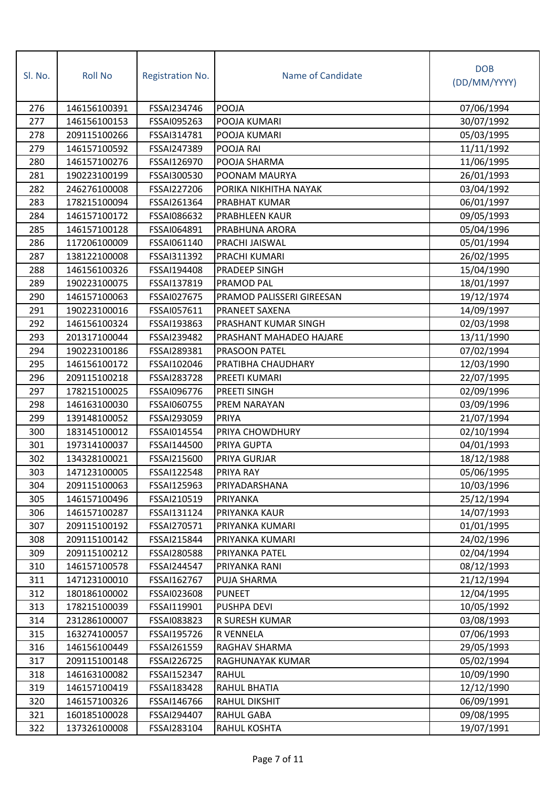| SI. No. | <b>Roll No</b> | Registration No. | Name of Candidate         | <b>DOB</b><br>(DD/MM/YYYY) |
|---------|----------------|------------------|---------------------------|----------------------------|
| 276     | 146156100391   | FSSAI234746      | POOJA                     | 07/06/1994                 |
| 277     | 146156100153   | FSSAI095263      | POOJA KUMARI              | 30/07/1992                 |
| 278     | 209115100266   | FSSAI314781      | POOJA KUMARI              | 05/03/1995                 |
| 279     | 146157100592   | FSSAI247389      | POOJA RAI                 | 11/11/1992                 |
| 280     | 146157100276   | FSSAI126970      | POOJA SHARMA              | 11/06/1995                 |
| 281     | 190223100199   | FSSAI300530      | POONAM MAURYA             | 26/01/1993                 |
| 282     | 246276100008   | FSSAI227206      | PORIKA NIKHITHA NAYAK     | 03/04/1992                 |
| 283     | 178215100094   | FSSAI261364      | PRABHAT KUMAR             | 06/01/1997                 |
| 284     | 146157100172   | FSSAI086632      | PRABHLEEN KAUR            | 09/05/1993                 |
| 285     | 146157100128   | FSSAI064891      | PRABHUNA ARORA            | 05/04/1996                 |
| 286     | 117206100009   | FSSAI061140      | PRACHI JAISWAL            | 05/01/1994                 |
| 287     | 138122100008   | FSSAI311392      | PRACHI KUMARI             | 26/02/1995                 |
| 288     | 146156100326   | FSSAI194408      | PRADEEP SINGH             | 15/04/1990                 |
| 289     | 190223100075   | FSSAI137819      | PRAMOD PAL                | 18/01/1997                 |
| 290     | 146157100063   | FSSAI027675      | PRAMOD PALISSERI GIREESAN | 19/12/1974                 |
| 291     | 190223100016   | FSSAI057611      | PRANEET SAXENA            | 14/09/1997                 |
| 292     | 146156100324   | FSSAI193863      | PRASHANT KUMAR SINGH      | 02/03/1998                 |
| 293     | 201317100044   | FSSAI239482      | PRASHANT MAHADEO HAJARE   | 13/11/1990                 |
| 294     | 190223100186   | FSSAI289381      | PRASOON PATEL             | 07/02/1994                 |
| 295     | 146156100172   | FSSAI102046      | PRATIBHA CHAUDHARY        | 12/03/1990                 |
| 296     | 209115100218   | FSSAI283728      | PREETI KUMARI             | 22/07/1995                 |
| 297     | 178215100025   | FSSAI096776      | PREETI SINGH              | 02/09/1996                 |
| 298     | 146163100030   | FSSAI060755      | PREM NARAYAN              | 03/09/1996                 |
| 299     | 139148100052   | FSSAI293059      | <b>PRIYA</b>              | 21/07/1994                 |
| 300     | 183145100012   | FSSAI014554      | PRIYA CHOWDHURY           | 02/10/1994                 |
| 301     | 197314100037   | FSSAI144500      | PRIYA GUPTA               | 04/01/1993                 |
| 302     | 134328100021   | FSSAI215600      | PRIYA GURJAR              | 18/12/1988                 |
| 303     | 147123100005   | FSSAI122548      | PRIYA RAY                 | 05/06/1995                 |
| 304     | 209115100063   | FSSAI125963      | PRIYADARSHANA             | 10/03/1996                 |
| 305     | 146157100496   | FSSAI210519      | PRIYANKA                  | 25/12/1994                 |
| 306     | 146157100287   | FSSAI131124      | PRIYANKA KAUR             | 14/07/1993                 |
| 307     | 209115100192   | FSSAI270571      | PRIYANKA KUMARI           | 01/01/1995                 |
| 308     | 209115100142   | FSSAI215844      | PRIYANKA KUMARI           | 24/02/1996                 |
| 309     | 209115100212   | FSSAI280588      | PRIYANKA PATEL            | 02/04/1994                 |
| 310     | 146157100578   | FSSAI244547      | PRIYANKA RANI             | 08/12/1993                 |
| 311     | 147123100010   | FSSAI162767      | PUJA SHARMA               | 21/12/1994                 |
| 312     | 180186100002   | FSSAI023608      | <b>PUNEET</b>             | 12/04/1995                 |
| 313     | 178215100039   | FSSAI119901      | PUSHPA DEVI               | 10/05/1992                 |
| 314     | 231286100007   | FSSAI083823      | R SURESH KUMAR            | 03/08/1993                 |
| 315     | 163274100057   | FSSAI195726      | R VENNELA                 | 07/06/1993                 |
| 316     | 146156100449   | FSSAI261559      | RAGHAV SHARMA             | 29/05/1993                 |
| 317     | 209115100148   | FSSAI226725      | RAGHUNAYAK KUMAR          | 05/02/1994                 |
| 318     | 146163100082   | FSSAI152347      | <b>RAHUL</b>              | 10/09/1990                 |
| 319     | 146157100419   | FSSAI183428      | RAHUL BHATIA              | 12/12/1990                 |
| 320     | 146157100326   | FSSAI146766      | <b>RAHUL DIKSHIT</b>      | 06/09/1991                 |
| 321     | 160185100028   | FSSAI294407      | RAHUL GABA                | 09/08/1995                 |
| 322     | 137326100008   | FSSAI283104      | RAHUL KOSHTA              | 19/07/1991                 |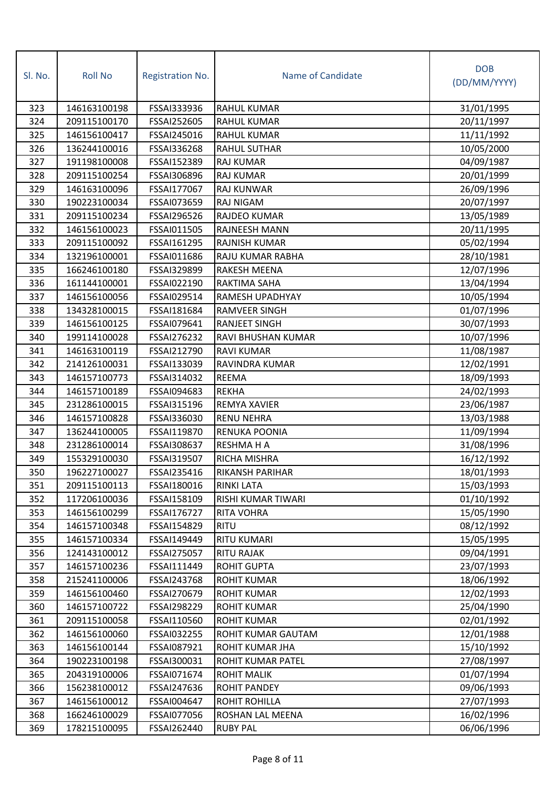| SI. No. | <b>Roll No</b> | Registration No. | Name of Candidate    | <b>DOB</b><br>(DD/MM/YYYY) |
|---------|----------------|------------------|----------------------|----------------------------|
| 323     | 146163100198   | FSSAI333936      | <b>RAHUL KUMAR</b>   | 31/01/1995                 |
| 324     | 209115100170   | FSSAI252605      | <b>RAHUL KUMAR</b>   | 20/11/1997                 |
| 325     | 146156100417   | FSSAI245016      | <b>RAHUL KUMAR</b>   | 11/11/1992                 |
| 326     | 136244100016   | FSSAI336268      | <b>RAHUL SUTHAR</b>  | 10/05/2000                 |
| 327     | 191198100008   | FSSAI152389      | <b>RAJ KUMAR</b>     | 04/09/1987                 |
| 328     | 209115100254   | FSSAI306896      | <b>RAJ KUMAR</b>     | 20/01/1999                 |
| 329     | 146163100096   | FSSAI177067      | <b>RAJ KUNWAR</b>    | 26/09/1996                 |
| 330     | 190223100034   | FSSAI073659      | RAJ NIGAM            | 20/07/1997                 |
| 331     | 209115100234   | FSSAI296526      | RAJDEO KUMAR         | 13/05/1989                 |
| 332     | 146156100023   | FSSAI011505      | RAJNEESH MANN        | 20/11/1995                 |
| 333     | 209115100092   | FSSAI161295      | RAJNISH KUMAR        | 05/02/1994                 |
| 334     | 132196100001   | FSSAI011686      | RAJU KUMAR RABHA     | 28/10/1981                 |
| 335     | 166246100180   | FSSAI329899      | <b>RAKESH MEENA</b>  | 12/07/1996                 |
| 336     | 161144100001   | FSSAI022190      | RAKTIMA SAHA         | 13/04/1994                 |
| 337     | 146156100056   | FSSAI029514      | RAMESH UPADHYAY      | 10/05/1994                 |
| 338     | 134328100015   | FSSAI181684      | <b>RAMVEER SINGH</b> | 01/07/1996                 |
| 339     | 146156100125   | FSSAI079641      | <b>RANJEET SINGH</b> | 30/07/1993                 |
| 340     | 199114100028   | FSSAI276232      | RAVI BHUSHAN KUMAR   | 10/07/1996                 |
| 341     | 146163100119   | FSSAI212790      | <b>RAVI KUMAR</b>    | 11/08/1987                 |
| 342     | 214126100031   | FSSAI133039      | RAVINDRA KUMAR       | 12/02/1991                 |
| 343     | 146157100773   | FSSAI314032      | <b>REEMA</b>         | 18/09/1993                 |
| 344     | 146157100189   | FSSAI094683      | <b>REKHA</b>         | 24/02/1993                 |
| 345     | 231286100015   | FSSAI315196      | <b>REMYA XAVIER</b>  | 23/06/1987                 |
| 346     | 146157100828   | FSSAI336030      | <b>RENU NEHRA</b>    | 13/03/1988                 |
| 347     | 136244100005   | FSSAI119870      | RENUKA POONIA        | 11/09/1994                 |
| 348     | 231286100014   | FSSAI308637      | RESHMA H A           | 31/08/1996                 |
| 349     | 155329100030   | FSSAI319507      | RICHA MISHRA         | 16/12/1992                 |
| 350     | 196227100027   | FSSAI235416      | RIKANSH PARIHAR      | 18/01/1993                 |
| 351     | 209115100113   | FSSAI180016      | RINKI LATA           | 15/03/1993                 |
| 352     | 117206100036   | FSSAI158109      | RISHI KUMAR TIWARI   | 01/10/1992                 |
| 353     | 146156100299   | FSSAI176727      | <b>RITA VOHRA</b>    | 15/05/1990                 |
| 354     | 146157100348   | FSSAI154829      | RITU                 | 08/12/1992                 |
| 355     | 146157100334   | FSSAI149449      | <b>RITU KUMARI</b>   | 15/05/1995                 |
| 356     | 124143100012   | FSSAI275057      | <b>RITU RAJAK</b>    | 09/04/1991                 |
| 357     | 146157100236   | FSSAI111449      | <b>ROHIT GUPTA</b>   | 23/07/1993                 |
| 358     | 215241100006   | FSSAI243768      | <b>ROHIT KUMAR</b>   | 18/06/1992                 |
| 359     | 146156100460   | FSSAI270679      | <b>ROHIT KUMAR</b>   | 12/02/1993                 |
| 360     | 146157100722   | FSSAI298229      | <b>ROHIT KUMAR</b>   | 25/04/1990                 |
| 361     | 209115100058   | FSSAI110560      | <b>ROHIT KUMAR</b>   | 02/01/1992                 |
| 362     | 146156100060   | FSSAI032255      | ROHIT KUMAR GAUTAM   | 12/01/1988                 |
| 363     | 146156100144   | FSSAI087921      | ROHIT KUMAR JHA      | 15/10/1992                 |
| 364     | 190223100198   | FSSAI300031      | ROHIT KUMAR PATEL    | 27/08/1997                 |
| 365     | 204319100006   | FSSAI071674      | <b>ROHIT MALIK</b>   | 01/07/1994                 |
| 366     | 156238100012   | FSSAI247636      | <b>ROHIT PANDEY</b>  | 09/06/1993                 |
| 367     | 146156100012   | FSSAI004647      | ROHIT ROHILLA        | 27/07/1993                 |
| 368     | 166246100029   | FSSAI077056      | ROSHAN LAL MEENA     | 16/02/1996                 |
| 369     | 178215100095   | FSSAI262440      | <b>RUBY PAL</b>      | 06/06/1996                 |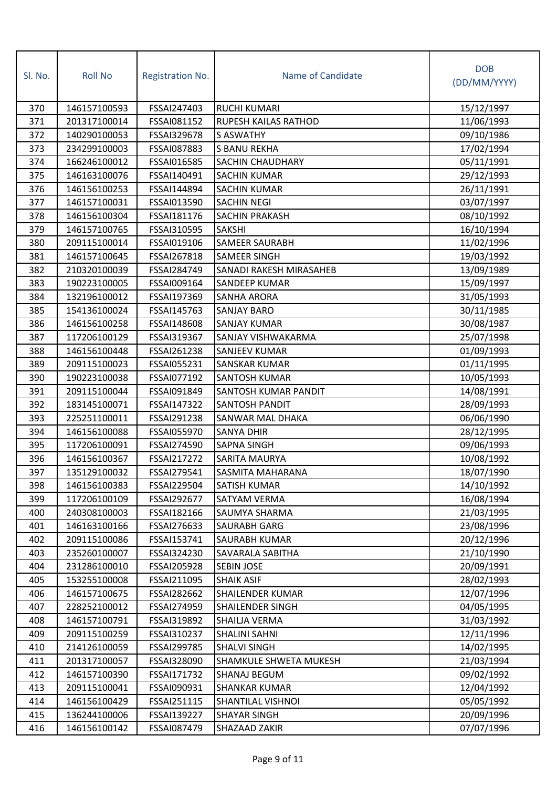| SI. No. | <b>Roll No</b> | Registration No. | Name of Candidate           | <b>DOB</b><br>(DD/MM/YYYY) |
|---------|----------------|------------------|-----------------------------|----------------------------|
| 370     | 146157100593   | FSSAI247403      | <b>RUCHI KUMARI</b>         | 15/12/1997                 |
| 371     | 201317100014   | FSSAI081152      | <b>RUPESH KAILAS RATHOD</b> | 11/06/1993                 |
| 372     | 140290100053   | FSSAI329678      | <b>S ASWATHY</b>            | 09/10/1986                 |
| 373     | 234299100003   | FSSAI087883      | <b>S BANU REKHA</b>         | 17/02/1994                 |
| 374     | 166246100012   | FSSAI016585      | <b>SACHIN CHAUDHARY</b>     | 05/11/1991                 |
| 375     | 146163100076   | FSSAI140491      | <b>SACHIN KUMAR</b>         | 29/12/1993                 |
| 376     | 146156100253   | FSSAI144894      | <b>SACHIN KUMAR</b>         | 26/11/1991                 |
| 377     | 146157100031   | FSSAI013590      | <b>SACHIN NEGI</b>          | 03/07/1997                 |
| 378     | 146156100304   | FSSAI181176      | <b>SACHIN PRAKASH</b>       | 08/10/1992                 |
| 379     | 146157100765   | FSSAI310595      | <b>SAKSHI</b>               | 16/10/1994                 |
| 380     | 209115100014   | FSSAI019106      | <b>SAMEER SAURABH</b>       | 11/02/1996                 |
| 381     | 146157100645   | FSSAI267818      | <b>SAMEER SINGH</b>         | 19/03/1992                 |
| 382     | 210320100039   | FSSAI284749      | SANADI RAKESH MIRASAHEB     | 13/09/1989                 |
| 383     | 190223100005   | FSSAI009164      | <b>SANDEEP KUMAR</b>        | 15/09/1997                 |
| 384     | 132196100012   | FSSAI197369      | <b>SANHA ARORA</b>          | 31/05/1993                 |
| 385     | 154136100024   | FSSAI145763      | <b>SANJAY BARO</b>          | 30/11/1985                 |
| 386     | 146156100258   | FSSAI148608      | <b>SANJAY KUMAR</b>         | 30/08/1987                 |
| 387     | 117206100129   | FSSAI319367      | SANJAY VISHWAKARMA          | 25/07/1998                 |
| 388     | 146156100448   | FSSAI261238      | <b>SANJEEV KUMAR</b>        | 01/09/1993                 |
| 389     | 209115100023   | FSSAI055231      | <b>SANSKAR KUMAR</b>        | 01/11/1995                 |
| 390     | 190223100038   | FSSAI077192      | <b>SANTOSH KUMAR</b>        | 10/05/1993                 |
| 391     | 209115100044   | FSSAI091849      | <b>SANTOSH KUMAR PANDIT</b> | 14/08/1991                 |
| 392     | 183145100071   | FSSAI147322      | <b>SANTOSH PANDIT</b>       | 28/09/1993                 |
| 393     | 225251100011   | FSSAI291238      | SANWAR MAL DHAKA            | 06/06/1990                 |
| 394     | 146156100088   | FSSAI055970      | <b>SANYA DHIR</b>           | 28/12/1995                 |
| 395     | 117206100091   | FSSAI274590      | <b>SAPNA SINGH</b>          | 09/06/1993                 |
| 396     | 146156100367   | FSSAI217272      | <b>SARITA MAURYA</b>        | 10/08/1992                 |
| 397     | 135129100032   | FSSAI279541      | <b>SASMITA MAHARANA</b>     | 18/07/1990                 |
| 398     | 146156100383   | FSSAI229504      | SATISH KUMAR                | 14/10/1992                 |
| 399     | 117206100109   | FSSAI292677      | <b>SATYAM VERMA</b>         | 16/08/1994                 |
| 400     | 240308100003   | FSSAI182166      | SAUMYA SHARMA               | 21/03/1995                 |
| 401     | 146163100166   | FSSAI276633      | SAURABH GARG                | 23/08/1996                 |
| 402     | 209115100086   | FSSAI153741      | <b>SAURABH KUMAR</b>        | 20/12/1996                 |
| 403     | 235260100007   | FSSAI324230      | SAVARALA SABITHA            | 21/10/1990                 |
| 404     | 231286100010   | FSSAI205928      | <b>SEBIN JOSE</b>           | 20/09/1991                 |
| 405     | 153255100008   | FSSAI211095      | <b>SHAIK ASIF</b>           | 28/02/1993                 |
| 406     | 146157100675   | FSSAI282662      | <b>SHAILENDER KUMAR</b>     | 12/07/1996                 |
| 407     | 228252100012   | FSSAI274959      | <b>SHAILENDER SINGH</b>     | 04/05/1995                 |
| 408     | 146157100791   | FSSAI319892      | SHAILJA VERMA               | 31/03/1992                 |
| 409     | 209115100259   | FSSAI310237      | <b>SHALINI SAHNI</b>        | 12/11/1996                 |
| 410     | 214126100059   | FSSAI299785      | <b>SHALVI SINGH</b>         | 14/02/1995                 |
| 411     | 201317100057   | FSSAI328090      | SHAMKULE SHWETA MUKESH      | 21/03/1994                 |
| 412     | 146157100390   | FSSAI171732      | SHANAJ BEGUM                | 09/02/1992                 |
| 413     | 209115100041   | FSSAI090931      | <b>SHANKAR KUMAR</b>        | 12/04/1992                 |
| 414     | 146156100429   | FSSAI251115      | <b>SHANTILAL VISHNOI</b>    | 05/05/1992                 |
| 415     | 136244100006   | FSSAI139227      | <b>SHAYAR SINGH</b>         | 20/09/1996                 |
| 416     | 146156100142   | FSSAI087479      | SHAZAAD ZAKIR               | 07/07/1996                 |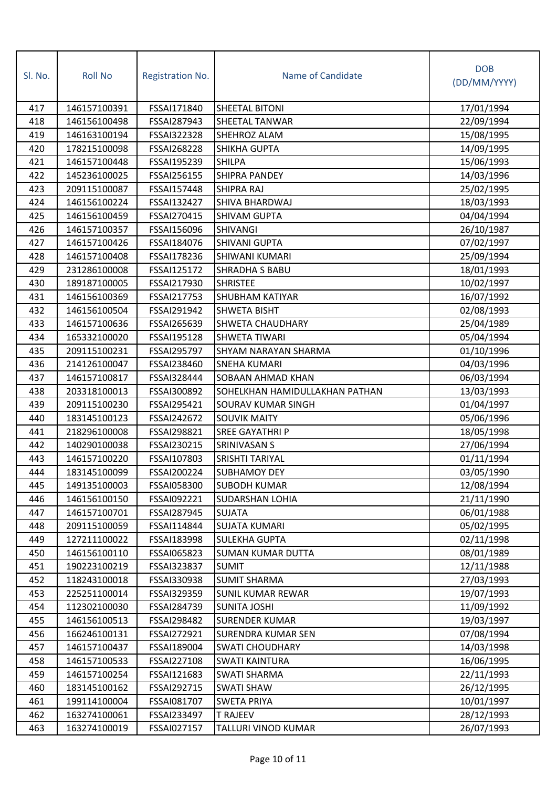| 146157100391<br>FSSAI171840<br><b>SHEETAL BITONI</b><br>17/01/1994<br>417<br>418<br>146156100498<br>FSSAI287943<br><b>SHEETAL TANWAR</b><br>22/09/1994<br>15/08/1995<br>419<br>146163100194<br>FSSAI322328<br><b>SHEHROZ ALAM</b><br>178215100098<br>14/09/1995<br>420<br>FSSAI268228<br><b>SHIKHA GUPTA</b><br>15/06/1993<br>146157100448<br>FSSAI195239<br><b>SHILPA</b><br>421<br>145236100025<br><b>SHIPRA PANDEY</b><br>14/03/1996<br>422<br>FSSAI256155<br>423<br>209115100087<br>FSSAI157448<br><b>SHIPRA RAJ</b><br>25/02/1995 | (DD/MM/YYYY) |
|----------------------------------------------------------------------------------------------------------------------------------------------------------------------------------------------------------------------------------------------------------------------------------------------------------------------------------------------------------------------------------------------------------------------------------------------------------------------------------------------------------------------------------------|--------------|
|                                                                                                                                                                                                                                                                                                                                                                                                                                                                                                                                        |              |
|                                                                                                                                                                                                                                                                                                                                                                                                                                                                                                                                        |              |
|                                                                                                                                                                                                                                                                                                                                                                                                                                                                                                                                        |              |
|                                                                                                                                                                                                                                                                                                                                                                                                                                                                                                                                        |              |
|                                                                                                                                                                                                                                                                                                                                                                                                                                                                                                                                        |              |
|                                                                                                                                                                                                                                                                                                                                                                                                                                                                                                                                        |              |
|                                                                                                                                                                                                                                                                                                                                                                                                                                                                                                                                        |              |
| 424<br>SHIVA BHARDWAJ<br>18/03/1993<br>146156100224<br>FSSAI132427                                                                                                                                                                                                                                                                                                                                                                                                                                                                     |              |
| 04/04/1994<br>425<br>146156100459<br>FSSAI270415<br><b>SHIVAM GUPTA</b>                                                                                                                                                                                                                                                                                                                                                                                                                                                                |              |
| 26/10/1987<br>426<br>FSSAI156096<br><b>SHIVANGI</b><br>146157100357                                                                                                                                                                                                                                                                                                                                                                                                                                                                    |              |
| 146157100426<br>07/02/1997<br>427<br>FSSAI184076<br><b>SHIVANI GUPTA</b>                                                                                                                                                                                                                                                                                                                                                                                                                                                               |              |
| 428<br>146157100408<br>FSSAI178236<br><b>SHIWANI KUMARI</b><br>25/09/1994                                                                                                                                                                                                                                                                                                                                                                                                                                                              |              |
| 429<br>231286100008<br>18/01/1993<br>FSSAI125172<br><b>SHRADHA S BABU</b>                                                                                                                                                                                                                                                                                                                                                                                                                                                              |              |
| 10/02/1997<br>430<br>189187100005<br>FSSAI217930<br><b>SHRISTEE</b>                                                                                                                                                                                                                                                                                                                                                                                                                                                                    |              |
| 16/07/1992<br>431<br>146156100369<br><b>SHUBHAM KATIYAR</b><br>FSSAI217753                                                                                                                                                                                                                                                                                                                                                                                                                                                             |              |
| 146156100504<br>FSSAI291942<br>02/08/1993<br>432<br><b>SHWETA BISHT</b>                                                                                                                                                                                                                                                                                                                                                                                                                                                                |              |
| 25/04/1989<br>433<br>146157100636<br>FSSAI265639<br><b>SHWETA CHAUDHARY</b>                                                                                                                                                                                                                                                                                                                                                                                                                                                            |              |
| 434<br>165332100020<br>05/04/1994<br>FSSAI195128<br><b>SHWETA TIWARI</b>                                                                                                                                                                                                                                                                                                                                                                                                                                                               |              |
| 01/10/1996<br>435<br>209115100231<br>FSSAI295797<br><b>SHYAM NARAYAN SHARMA</b>                                                                                                                                                                                                                                                                                                                                                                                                                                                        |              |
| 04/03/1996<br>436<br>214126100047<br>FSSAI238460<br><b>SNEHA KUMARI</b>                                                                                                                                                                                                                                                                                                                                                                                                                                                                |              |
| 146157100817<br>06/03/1994<br>437<br>FSSAI328444<br>SOBAAN AHMAD KHAN                                                                                                                                                                                                                                                                                                                                                                                                                                                                  |              |
| 438<br>203318100013<br>FSSAI300892<br>SOHELKHAN HAMIDULLAKHAN PATHAN<br>13/03/1993                                                                                                                                                                                                                                                                                                                                                                                                                                                     |              |
| 439<br>01/04/1997<br>209115100230<br>FSSAI295421<br><b>SOURAV KUMAR SINGH</b>                                                                                                                                                                                                                                                                                                                                                                                                                                                          |              |
| 05/06/1996<br>440<br>183145100123<br>FSSAI242672<br><b>SOUVIK MAITY</b>                                                                                                                                                                                                                                                                                                                                                                                                                                                                |              |
| 18/05/1998<br>218296100008<br>FSSAI298821<br>441<br><b>SREE GAYATHRI P</b>                                                                                                                                                                                                                                                                                                                                                                                                                                                             |              |
| 27/06/1994<br>442<br>140290100038<br>FSSAI230215<br>SRINIVASAN S                                                                                                                                                                                                                                                                                                                                                                                                                                                                       |              |
| 01/11/1994<br>146157100220<br>FSSAI107803<br><b>SRISHTI TARIYAL</b><br>443                                                                                                                                                                                                                                                                                                                                                                                                                                                             |              |
| <b>SUBHAMOY DEY</b><br>03/05/1990<br>444<br>183145100099<br>FSSAI200224                                                                                                                                                                                                                                                                                                                                                                                                                                                                |              |
| 149135100003<br>FSSAI058300<br><b>SUBODH KUMAR</b><br>12/08/1994<br>445                                                                                                                                                                                                                                                                                                                                                                                                                                                                |              |
| 21/11/1990<br>446<br>146156100150<br>FSSAI092221<br><b>SUDARSHAN LOHIA</b>                                                                                                                                                                                                                                                                                                                                                                                                                                                             |              |
| 06/01/1988<br>447<br>146157100701<br>FSSAI287945<br><b>SUJATA</b>                                                                                                                                                                                                                                                                                                                                                                                                                                                                      |              |
| <b>SUJATA KUMARI</b><br>05/02/1995<br>448<br>209115100059<br>FSSAI114844                                                                                                                                                                                                                                                                                                                                                                                                                                                               |              |
| 449<br>127211100022<br>FSSAI183998<br><b>SULEKHA GUPTA</b><br>02/11/1998                                                                                                                                                                                                                                                                                                                                                                                                                                                               |              |
| 450<br>146156100110<br>FSSAI065823<br><b>SUMAN KUMAR DUTTA</b><br>08/01/1989                                                                                                                                                                                                                                                                                                                                                                                                                                                           |              |
| <b>SUMIT</b><br>12/11/1988<br>451<br>190223100219<br>FSSAI323837                                                                                                                                                                                                                                                                                                                                                                                                                                                                       |              |
| <b>SUMIT SHARMA</b><br>27/03/1993<br>452<br>118243100018<br>FSSAI330938                                                                                                                                                                                                                                                                                                                                                                                                                                                                |              |
| <b>SUNIL KUMAR REWAR</b><br>19/07/1993<br>453<br>225251100014<br>FSSAI329359                                                                                                                                                                                                                                                                                                                                                                                                                                                           |              |
| 454<br>112302100030<br>FSSAI284739<br><b>SUNITA JOSHI</b><br>11/09/1992                                                                                                                                                                                                                                                                                                                                                                                                                                                                |              |
| 455<br>146156100513<br>FSSAI298482<br><b>SURENDER KUMAR</b><br>19/03/1997                                                                                                                                                                                                                                                                                                                                                                                                                                                              |              |
| 07/08/1994<br>456<br>166246100131<br>FSSAI272921<br><b>SURENDRA KUMAR SEN</b>                                                                                                                                                                                                                                                                                                                                                                                                                                                          |              |
| 14/03/1998<br>457<br>146157100437<br>FSSAI189004<br><b>SWATI CHOUDHARY</b>                                                                                                                                                                                                                                                                                                                                                                                                                                                             |              |
| 16/06/1995<br>458<br>146157100533<br>FSSAI227108<br><b>SWATI KAINTURA</b>                                                                                                                                                                                                                                                                                                                                                                                                                                                              |              |
| 22/11/1993<br>459<br>146157100254<br>FSSAI121683<br><b>SWATI SHARMA</b>                                                                                                                                                                                                                                                                                                                                                                                                                                                                |              |
| 460<br>183145100162<br>FSSAI292715<br><b>SWATI SHAW</b><br>26/12/1995                                                                                                                                                                                                                                                                                                                                                                                                                                                                  |              |
| FSSAI081707<br>10/01/1997<br>461<br>199114100004<br><b>SWETA PRIYA</b>                                                                                                                                                                                                                                                                                                                                                                                                                                                                 |              |
| 28/12/1993<br>462<br>163274100061<br>FSSAI233497<br><b>T RAJEEV</b>                                                                                                                                                                                                                                                                                                                                                                                                                                                                    |              |
| 463<br>26/07/1993<br>163274100019<br>FSSAI027157<br>TALLURI VINOD KUMAR                                                                                                                                                                                                                                                                                                                                                                                                                                                                |              |